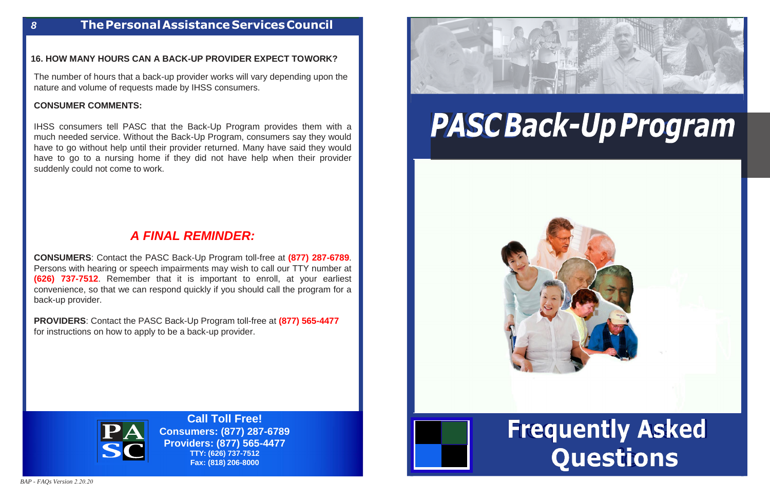## **Frequently Asked** Questions

#### **16. HOW MANY HOURS CAN A BACK-UP PROVIDER EXPECT TO WORK?**

The number of hours that a back-up provider works will vary depending upon the nature and volume of requests made by IHSS consumers.

#### **CONSUMER COMMENTS:**

IHSS consumers tell PASC that the Back-Up Program provides them with a much needed service. Without the Back-Up Program, consumers say they would have to go without help until their provider returned. Many have said they would have to go to a nursing home if they did not have help when their provider suddenly could not come to work.

### *A FINAL REMINDER:*

**CONSUMERS**: Contact the PASC Back-Up Program toll-free at **(877) 287-6789**. Persons with hearing or speech impairments may wish to call our TTY number at **(626) 737-7512**. Remember that it is important to enroll, at your earliest convenience, so that we can respond quickly if you should call the program for a back-up provider.

**PROVIDERS**: Contact the PASC Back-Up Program toll-free at **(877) 565-4477** for instructions on how to apply to be a back-up provider.



**Call Toll Free! Consumers: (877) 287-6789 Providers: (877) 565-4477 TTY: (626) 737-7512 Fax: (818) 206-8000**



# PASCBack-Up Program





#### *8* **ThePersonalAssistance ServicesCouncil**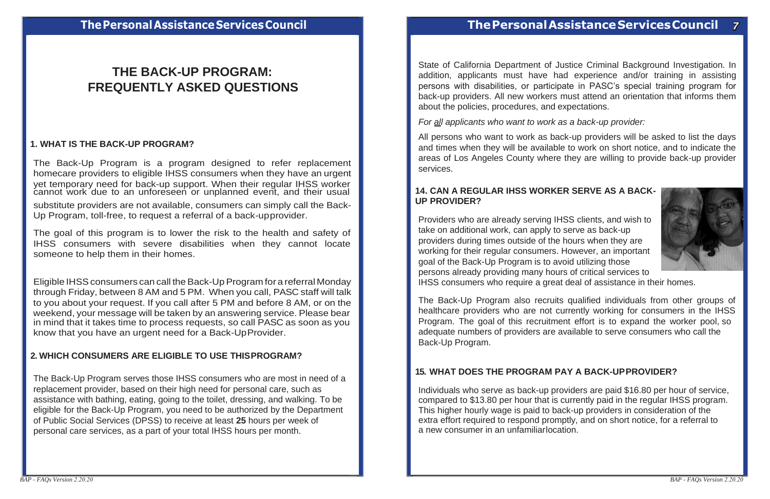

The Back-Up Program is a program designed to refer replacement homecare providers to eligible IHSS consumers when they have an urgent yet temporary need for back-up support. When their regular IHSS worker cannot work due to an unforeseen or unplanned event, and their usual

### **THE BACK-UP PROGRAM: FREQUENTLY ASKED QUESTIONS**

#### **1. WHAT IS THE BACK-UP PROGRAM?**

State of California Department of Justice Criminal Background Investigation. In addition, applicants must have had experience and/or training in assisting persons with disabilities, or participate in PASC's special training program for back-up providers. All new workers must attend an orientation that informs them about the policies, procedures, and expectations.

*For all applicants who want to work as a back-up provider:*

All persons who want to work as back-up providers will be asked to list the days and times when they will be available to work on short notice, and to indicate the areas of Los Angeles County where they are willing to provide back-up provider services.

substitute providers are not available, consumers can simply call the Back-Up Program, toll-free, to request a referral of a back-up provider.

The goal of this program is to lower the risk to the health and safety of IHSS consumers with severe disabilities when they cannot locate someone to help them in their homes.

#### **14. CAN A REGULAR IHSS WORKER SERVE AS A BACK-UP PROVIDER?**

Eligible IHSS consumers can call the Back-Up Program for a referral Monday through Friday, between 8 AM and 5 PM. When you call, PASC staff will talk to you about your request. If you call after 5 PM and before 8 AM, or on the weekend, your message will be taken by an answering service. Please bear in mind that it takes time to process requests, so call PASC as soon as you know that you have an urgent need for a Back-Up Provider.

Providers who are already serving IHSS clients, and wish to take on additional work, can apply to serve as back-up providers during times outside of the hours when they are working for their regular consumers. However, an important goal of the Back-Up Program is to avoid utilizing those persons already providing many hours of critical services to IHSS consumers who require a great deal of assistance in their homes.

#### **2. WHICH CONSUMERS ARE ELIGIBLE TO USE THIS PROGRAM?**

The Back-Up Program serves those IHSS consumers who are most in need of a replacement provider, based on their high need for personal care, such as assistance with bathing, eating, going to the toilet, dressing, and walking. To be eligible for the Back-Up Program, you need to be authorized by the Department of Public Social Services (DPSS) to receive at least **25** hours per week of personal care services, as a part of your total IHSS hours per month.

The Back-Up Program also recruits qualified individuals from other groups of healthcare providers who are not currently working for consumers in the IHSS Program. The goal of this recruitment effort is to expand the worker pool, so adequate numbers of providers are available to serve consumers who call the Back-Up Program.

#### **15. WHAT DOES THE PROGRAM PAY A BACK-UPPROVIDER?**

Individuals who serve as back-up providers are paid \$16.80 per hour of service, compared to \$13.80 per hour that is currently paid in the regular IHSS program. This higher hourly wage is paid to back-up providers in consideration of the extra effort required to respond promptly, and on short notice, for a referral to a new consumer in an unfamiliar location.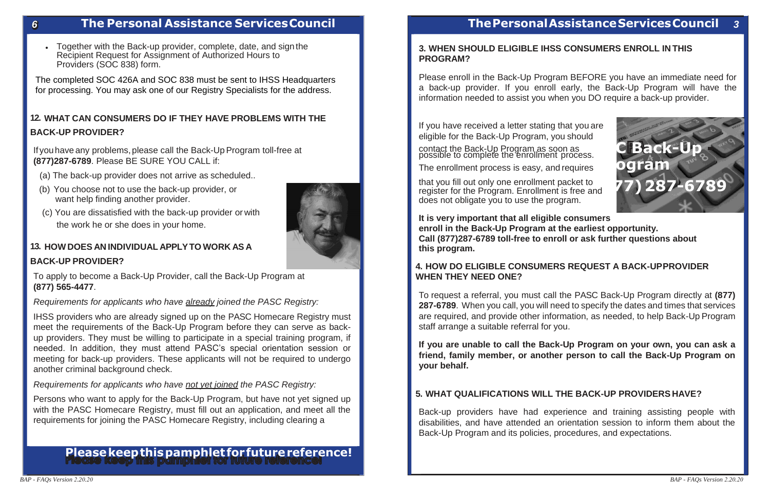

#### *6* **The Personal Assistance Services Council**

• Together with the Back-up provider, complete, date, and sign the Recipient Request for Assignment of Authorized Hours to Providers (SOC 838) form.

If you have any problems, please call the Back-Up Program toll-free at **(877)287-6789**. Please BE SURE YOU CALL if:

The completed SOC 426A and SOC 838 must be sent to IHSS Headquarters for processing. You may ask one of our Registry Specialists for the address.

#### **12. WHAT CAN CONSUMERS DO IF THEY HAVE PROBLEMS WITH THE BACK-UP PROVIDER?**

- (a) The back-up provider does not arrive as scheduled..
- (b) You choose not to use the back-up provider, or want help finding another provider.
- (c) You are dissatisfied with the back-up provider or with the work he or she does in your home.

#### **13. HOW DOES AN INDIVIDUAL APPLY TO WORK AS A**

#### **BACK-UP PROVIDER?**

To apply to become a Back-Up Provider, call the Back-Up Program at **(877) 565-4477**.

#### *Requirements for applicants who have already joined the PASC Registry:*

contact the Back-Up Program as soon as possible to complete the enrollment process.

IHSS providers who are already signed up on the PASC Homecare Registry must meet the requirements of the Back-Up Program before they can serve as backup providers. They must be willing to participate in a special training program, if needed. In addition, they must attend PASC's special orientation session or meeting for back-up providers. These applicants will not be required to undergo another criminal background check.

#### *Requirements for applicants who have not yet joined the PASC Registry:*

Persons who want to apply for the Back-Up Program, but have not yet signed up with the PASC Homecare Registry, must fill out an application, and meet all the requirements for joining the PASC Homecare Registry, including clearing a

## **Please keep this pamphlet for future reference!**

#### **The Personal Assistance Services Council** *3*

#### **3. WHEN SHOULD ELIGIBLE IHSS CONSUMERS ENROLL IN THIS PROGRAM?**

Please enroll in the Back-Up Program BEFORE you have an immediate need for a back-up provider. If you enroll early, the Back-Up Program will have the information needed to assist you when you DO require a back-up provider.

If you have received a letter stating that you are eligible for the Back-Up Program, you should

The enrollment process is easy, and requires

that you fill out only one enrollment packet to register for the Program. Enrollment is free and does not obligate you to use the program.

**It is very important that all eligible consumers enroll in the Back-Up Program at the earliest opportunity. Call (877)287-6789 toll-free to enroll or ask further questions about this program.**

#### **4. HOW DO ELIGIBLE CONSUMERS REQUEST A BACK-UP PROVIDER WHEN THEY NEED ONE?**

To request a referral, you must call the PASC Back-Up Program directly at **(877) 287-6789**. When you call, you will need to specify the dates and times that services are required, and provide other information, as needed, to help Back-Up Program staff arrange a suitable referral for you.

**If you are unable to call the Back-Up Program on your own, you can ask a friend, family member, or another person to call the Back-Up Program on your behalf.**

#### **5. WHAT QUALIFICATIONS WILL THE BACK-UP PROVIDERS HAVE?**

Back-up providers have had experience and training assisting people with disabilities, and have attended an orientation session to inform them about the Back-Up Program and its policies, procedures, and expectations.